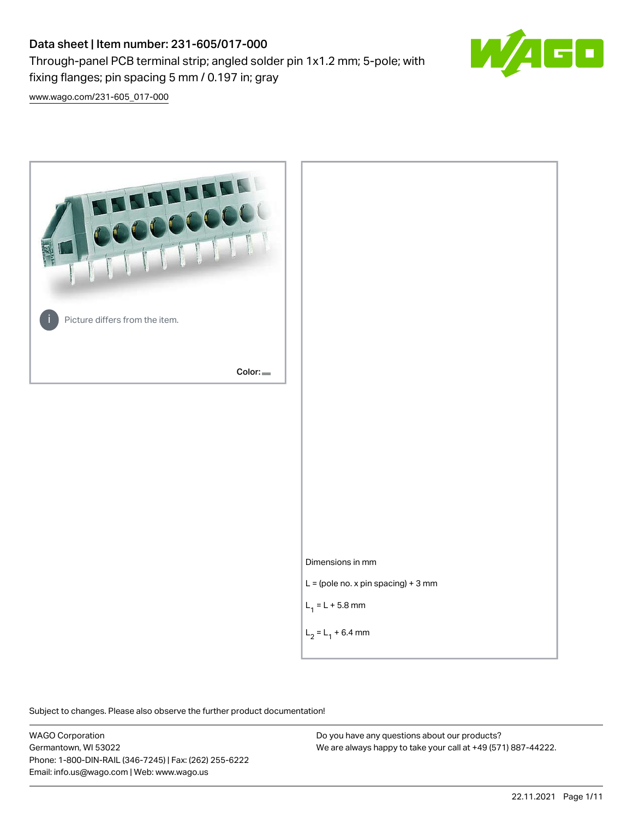# Data sheet | Item number: 231-605/017-000

fixing flanges; pin spacing 5 mm / 0.197 in; gray

Through-panel PCB terminal strip; angled solder pin 1x1.2 mm; 5-pole; with

 $\Box$ 

[www.wago.com/231-605\\_017-000](http://www.wago.com/231-605_017-000)



Subject to changes. Please also observe the further product documentation!

WAGO Corporation Germantown, WI 53022 Phone: 1-800-DIN-RAIL (346-7245) | Fax: (262) 255-6222 Email: info.us@wago.com | Web: www.wago.us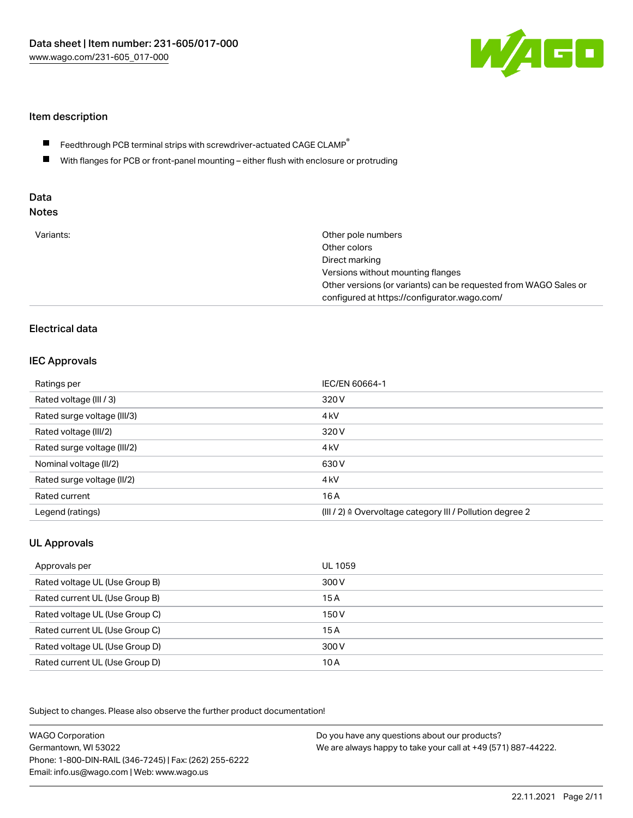

## Item description

- Feedthrough PCB terminal strips with screwdriver-actuated CAGE CLAMP $^\circ$  $\blacksquare$
- $\blacksquare$ With flanges for PCB or front-panel mounting – either flush with enclosure or protruding

# Data

| Variants:<br>Other pole numbers<br>Other colors<br>Direct marking<br>Versions without mounting flanges<br>Other versions (or variants) can be requested from WAGO Sales or<br>configured at https://configurator.wago.com/ |  |
|----------------------------------------------------------------------------------------------------------------------------------------------------------------------------------------------------------------------------|--|
|----------------------------------------------------------------------------------------------------------------------------------------------------------------------------------------------------------------------------|--|

# Electrical data

### IEC Approvals

| Ratings per                 | IEC/EN 60664-1                                                        |
|-----------------------------|-----------------------------------------------------------------------|
| Rated voltage (III / 3)     | 320 V                                                                 |
| Rated surge voltage (III/3) | 4 <sub>k</sub> V                                                      |
| Rated voltage (III/2)       | 320 V                                                                 |
| Rated surge voltage (III/2) | 4 <sub>k</sub> V                                                      |
| Nominal voltage (II/2)      | 630 V                                                                 |
| Rated surge voltage (II/2)  | 4 <sub>k</sub> V                                                      |
| Rated current               | 16A                                                                   |
| Legend (ratings)            | $(III / 2)$ $\triangle$ Overvoltage category III / Pollution degree 2 |

# UL Approvals

| Approvals per                  | UL 1059 |
|--------------------------------|---------|
| Rated voltage UL (Use Group B) | 300 V   |
| Rated current UL (Use Group B) | 15 A    |
| Rated voltage UL (Use Group C) | 150 V   |
| Rated current UL (Use Group C) | 15A     |
| Rated voltage UL (Use Group D) | 300 V   |
| Rated current UL (Use Group D) | 10 A    |

Subject to changes. Please also observe the further product documentation!

| <b>WAGO Corporation</b>                                | Do you have any questions about our products?                 |
|--------------------------------------------------------|---------------------------------------------------------------|
| Germantown, WI 53022                                   | We are always happy to take your call at +49 (571) 887-44222. |
| Phone: 1-800-DIN-RAIL (346-7245)   Fax: (262) 255-6222 |                                                               |
| Email: info.us@wago.com   Web: www.wago.us             |                                                               |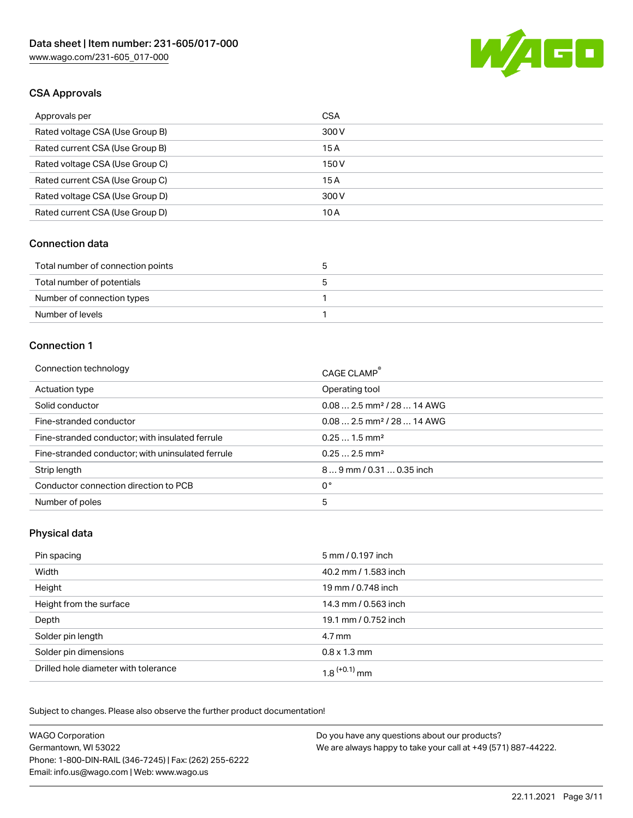

# CSA Approvals

| Approvals per                   | <b>CSA</b> |
|---------------------------------|------------|
| Rated voltage CSA (Use Group B) | 300 V      |
| Rated current CSA (Use Group B) | 15A        |
| Rated voltage CSA (Use Group C) | 150 V      |
| Rated current CSA (Use Group C) | 15A        |
| Rated voltage CSA (Use Group D) | 300 V      |
| Rated current CSA (Use Group D) | 10 A       |

#### Connection data

| Total number of connection points |  |
|-----------------------------------|--|
| Total number of potentials        |  |
| Number of connection types        |  |
| Number of levels                  |  |

#### Connection 1

| Connection technology                             | CAGE CLAMP <sup>®</sup>                 |
|---------------------------------------------------|-----------------------------------------|
| Actuation type                                    | Operating tool                          |
| Solid conductor                                   | $0.082.5$ mm <sup>2</sup> / 28  14 AWG  |
| Fine-stranded conductor                           | $0.08$ 2.5 mm <sup>2</sup> / 28  14 AWG |
| Fine-stranded conductor; with insulated ferrule   | $0.251.5$ mm <sup>2</sup>               |
| Fine-stranded conductor; with uninsulated ferrule | $0.252.5$ mm <sup>2</sup>               |
| Strip length                                      | 89 mm / 0.31  0.35 inch                 |
| Conductor connection direction to PCB             | 0°                                      |
| Number of poles                                   | 5                                       |
|                                                   |                                         |

### Physical data

| Pin spacing                          | 5 mm / 0.197 inch    |
|--------------------------------------|----------------------|
| Width                                | 40.2 mm / 1.583 inch |
| Height                               | 19 mm / 0.748 inch   |
| Height from the surface              | 14.3 mm / 0.563 inch |
| Depth                                | 19.1 mm / 0.752 inch |
| Solder pin length                    | 4.7 mm               |
| Solder pin dimensions                | $0.8 \times 1.3$ mm  |
| Drilled hole diameter with tolerance | $1.8$ $(+0.1)$ mm    |

Subject to changes. Please also observe the further product documentation! Mechanical data

| <b>WAGO Corporation</b>                                | Do you have any questions about our products?                 |
|--------------------------------------------------------|---------------------------------------------------------------|
| Germantown, WI 53022                                   | We are always happy to take your call at +49 (571) 887-44222. |
| Phone: 1-800-DIN-RAIL (346-7245)   Fax: (262) 255-6222 |                                                               |
| Email: info.us@wago.com   Web: www.wago.us             |                                                               |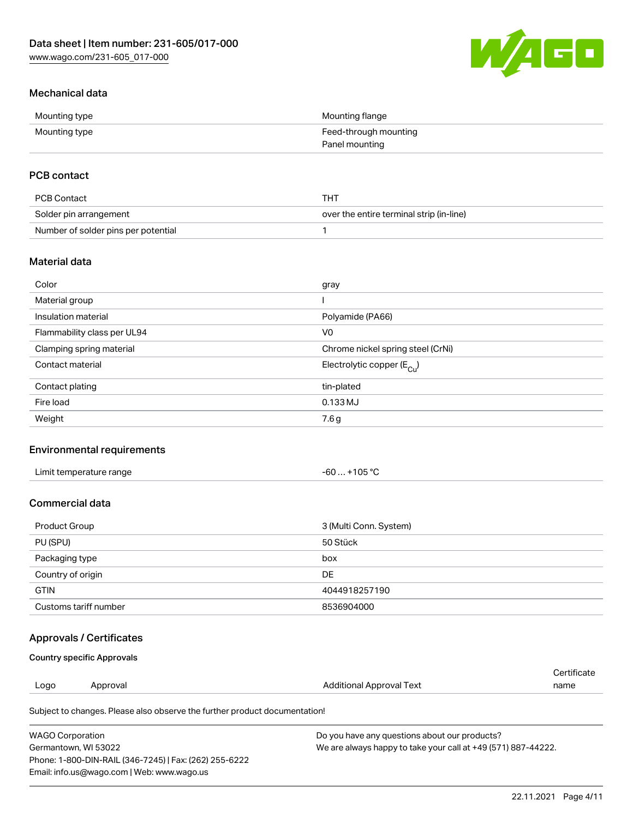

# Mechanical data

| Mounting type | Mounting flange       |
|---------------|-----------------------|
| Mounting type | Feed-through mounting |
|               | Panel mounting        |

# PCB contact

| PCB Contact                         | THT                                      |
|-------------------------------------|------------------------------------------|
| Solder pin arrangement              | over the entire terminal strip (in-line) |
| Number of solder pins per potential |                                          |

## Material data

| Color                       | gray                                  |
|-----------------------------|---------------------------------------|
| Material group              |                                       |
| Insulation material         | Polyamide (PA66)                      |
| Flammability class per UL94 | V <sub>0</sub>                        |
| Clamping spring material    | Chrome nickel spring steel (CrNi)     |
| Contact material            | Electrolytic copper $(E_{\text{Cl}})$ |
| Contact plating             | tin-plated                            |
| Fire load                   | 0.133 MJ                              |
| Weight                      | 7.6 g                                 |

## Environmental requirements

| Limit temperature range<br>. | +105 °C<br>-60 |  |
|------------------------------|----------------|--|
|------------------------------|----------------|--|

# Commercial data

| Product Group         | 3 (Multi Conn. System) |
|-----------------------|------------------------|
| PU (SPU)              | 50 Stück               |
| Packaging type        | box                    |
| Country of origin     | DE                     |
| <b>GTIN</b>           | 4044918257190          |
| Customs tariff number | 8536904000             |

## Approvals / Certificates

#### Country specific Approvals

| Logo | Approval | Additional Approval Text | name        |
|------|----------|--------------------------|-------------|
|      |          |                          | Certificate |

Subject to changes. Please also observe the further product documentation!

| WAGO Corporation                                       | Do you have any questions about our products?                 |
|--------------------------------------------------------|---------------------------------------------------------------|
| Germantown. WI 53022                                   | We are always happy to take your call at +49 (571) 887-44222. |
| Phone: 1-800-DIN-RAIL (346-7245)   Fax: (262) 255-6222 |                                                               |
| Email: info.us@wago.com   Web: www.wago.us             |                                                               |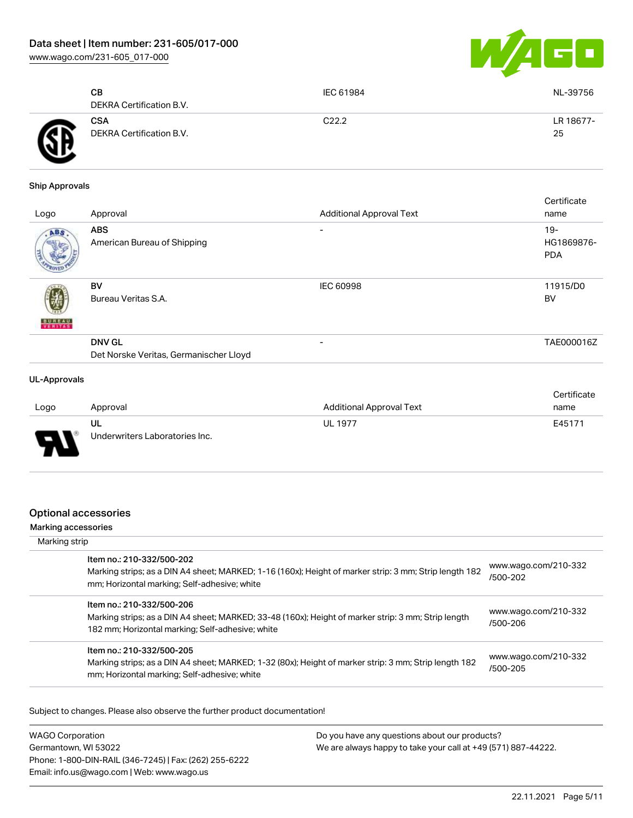[www.wago.com/231-605\\_017-000](http://www.wago.com/231-605_017-000)



|              | CВ<br>DEKRA Certification B.V.         | IEC 61984 | NL-39756        |
|--------------|----------------------------------------|-----------|-----------------|
| $\mathbf{G}$ | <b>CSA</b><br>DEKRA Certification B.V. | C22.2     | LR 18677-<br>25 |

#### Ship Approvals

| Logo          | Approval                                                | <b>Additional Approval Text</b> | Certificate<br>name                |
|---------------|---------------------------------------------------------|---------------------------------|------------------------------------|
| ABS           | <b>ABS</b><br>American Bureau of Shipping               |                                 | $19 -$<br>HG1869876-<br><b>PDA</b> |
| <b>BUREAU</b> | BV<br>Bureau Veritas S.A.                               | <b>IEC 60998</b>                | 11915/D0<br><b>BV</b>              |
|               | <b>DNV GL</b><br>Det Norske Veritas, Germanischer Lloyd |                                 | TAE000016Z                         |
|               |                                                         |                                 |                                    |

#### UL-Approvals

|          |                                |                                 | Certificate |
|----------|--------------------------------|---------------------------------|-------------|
| Logo     | Approval                       | <b>Additional Approval Text</b> | name        |
|          | UL                             | <b>UL 1977</b>                  | E45171      |
| J<br>. . | Underwriters Laboratories Inc. |                                 |             |

### Optional accessories

#### Marking accessories

| Marking strip                                                                                                                                                                        |                                  |
|--------------------------------------------------------------------------------------------------------------------------------------------------------------------------------------|----------------------------------|
| Item no.: 210-332/500-202<br>Marking strips; as a DIN A4 sheet; MARKED; 1-16 (160x); Height of marker strip: 3 mm; Strip length 182<br>mm; Horizontal marking; Self-adhesive; white  | www.wago.com/210-332<br>/500-202 |
| Item no.: 210-332/500-206<br>Marking strips; as a DIN A4 sheet; MARKED; 33-48 (160x); Height of marker strip: 3 mm; Strip length<br>182 mm; Horizontal marking; Self-adhesive; white | www.wago.com/210-332<br>/500-206 |
| Item no.: 210-332/500-205<br>Marking strips; as a DIN A4 sheet; MARKED; 1-32 (80x); Height of marker strip: 3 mm; Strip length 182<br>mm; Horizontal marking; Self-adhesive; white   | www.wago.com/210-332<br>/500-205 |

Subject to changes. Please also observe the further product documentation!

WAGO Corporation Germantown, WI 53022 Phone: 1-800-DIN-RAIL (346-7245) | Fax: (262) 255-6222 Email: info.us@wago.com | Web: www.wago.us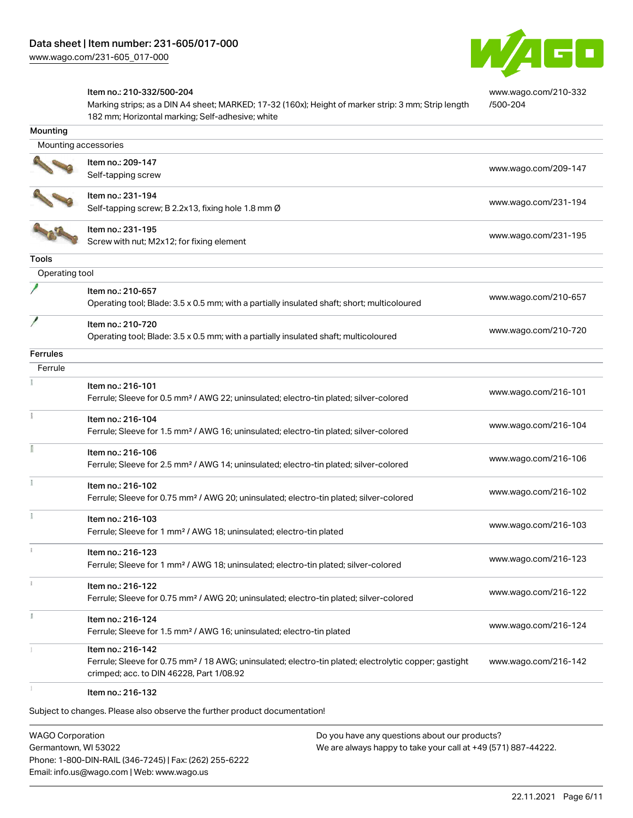

[www.wago.com/210-332](http://www.wago.com/210-332/500-204)

[/500-204](http://www.wago.com/210-332/500-204)

#### Item no.: 210-332/500-204

Marking strips; as a DIN A4 sheet; MARKED; 17-32 (160x); Height of marker strip: 3 mm; Strip length 182 mm; Horizontal marking; Self-adhesive; white

| Mounting             |                                                                                                                                                                                    |                      |
|----------------------|------------------------------------------------------------------------------------------------------------------------------------------------------------------------------------|----------------------|
| Mounting accessories |                                                                                                                                                                                    |                      |
|                      | Item no.: 209-147<br>Self-tapping screw                                                                                                                                            | www.wago.com/209-147 |
|                      | Item no.: 231-194<br>Self-tapping screw; B 2.2x13, fixing hole 1.8 mm Ø                                                                                                            | www.wago.com/231-194 |
|                      | Item no.: 231-195<br>Screw with nut; M2x12; for fixing element                                                                                                                     | www.wago.com/231-195 |
| <b>Tools</b>         |                                                                                                                                                                                    |                      |
| Operating tool       |                                                                                                                                                                                    |                      |
|                      | Item no.: 210-657<br>Operating tool; Blade: 3.5 x 0.5 mm; with a partially insulated shaft; short; multicoloured                                                                   | www.wago.com/210-657 |
|                      | Item no.: 210-720<br>Operating tool; Blade: 3.5 x 0.5 mm; with a partially insulated shaft; multicoloured                                                                          | www.wago.com/210-720 |
| Ferrules             |                                                                                                                                                                                    |                      |
| Ferrule              |                                                                                                                                                                                    |                      |
|                      | Item no.: 216-101<br>Ferrule; Sleeve for 0.5 mm <sup>2</sup> / AWG 22; uninsulated; electro-tin plated; silver-colored                                                             | www.wago.com/216-101 |
|                      | Item no.: 216-104<br>Ferrule; Sleeve for 1.5 mm <sup>2</sup> / AWG 16; uninsulated; electro-tin plated; silver-colored                                                             | www.wago.com/216-104 |
|                      | Item no.: 216-106<br>Ferrule; Sleeve for 2.5 mm <sup>2</sup> / AWG 14; uninsulated; electro-tin plated; silver-colored                                                             | www.wago.com/216-106 |
|                      | Item no.: 216-102<br>Ferrule; Sleeve for 0.75 mm <sup>2</sup> / AWG 20; uninsulated; electro-tin plated; silver-colored                                                            | www.wago.com/216-102 |
|                      | Item no.: 216-103<br>Ferrule; Sleeve for 1 mm <sup>2</sup> / AWG 18; uninsulated; electro-tin plated                                                                               | www.wago.com/216-103 |
|                      | Item no.: 216-123<br>Ferrule; Sleeve for 1 mm <sup>2</sup> / AWG 18; uninsulated; electro-tin plated; silver-colored                                                               | www.wago.com/216-123 |
|                      | Item no.: 216-122<br>Ferrule; Sleeve for 0.75 mm <sup>2</sup> / AWG 20; uninsulated; electro-tin plated; silver-colored                                                            | www.wago.com/216-122 |
| B                    | Item no.: 216-124<br>Ferrule; Sleeve for 1.5 mm <sup>2</sup> / AWG 16; uninsulated; electro-tin plated                                                                             | www.wago.com/216-124 |
|                      | Item no.: 216-142<br>Ferrule; Sleeve for 0.75 mm <sup>2</sup> / 18 AWG; uninsulated; electro-tin plated; electrolytic copper; gastight<br>crimped; acc. to DIN 46228, Part 1/08.92 | www.wago.com/216-142 |
|                      | Item no.: 216-132                                                                                                                                                                  |                      |

Subject to changes. Please also observe the further product documentation!

WAGO Corporation Germantown, WI 53022 Phone: 1-800-DIN-RAIL (346-7245) | Fax: (262) 255-6222 Email: info.us@wago.com | Web: www.wago.us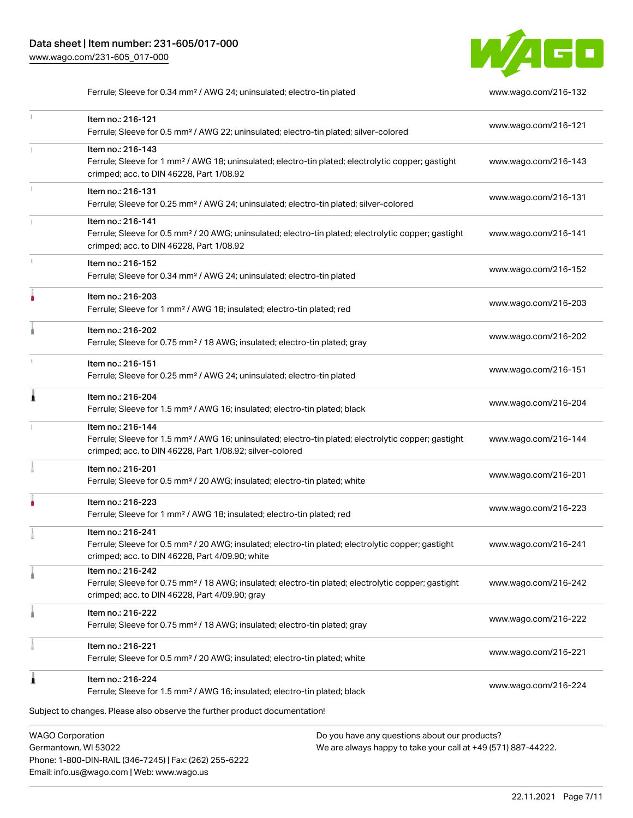Item no.: 216-121

 $\ddot{1}$ 

ţ

Item no.: 216-143



Ferrule; Sleeve for 0.34 mm² / AWG 24; uninsulated; electro-tin plated [www.wago.com/216-132](http://www.wago.com/216-132)

| Ferrule; Sleeve for 1 mm <sup>2</sup> / AWG 18; uninsulated; electro-tin plated; electrolytic copper; gastight<br>crimped; acc. to DIN 46228, Part 1/08.92                                        | www.wago.com/216-143 |
|---------------------------------------------------------------------------------------------------------------------------------------------------------------------------------------------------|----------------------|
| Item no.: 216-131<br>Ferrule; Sleeve for 0.25 mm <sup>2</sup> / AWG 24; uninsulated; electro-tin plated; silver-colored                                                                           | www.wago.com/216-131 |
| Item no.: 216-141<br>Ferrule; Sleeve for 0.5 mm <sup>2</sup> / 20 AWG; uninsulated; electro-tin plated; electrolytic copper; gastight<br>crimped; acc. to DIN 46228, Part 1/08.92                 | www.wago.com/216-141 |
| Item no.: 216-152<br>Ferrule; Sleeve for 0.34 mm <sup>2</sup> / AWG 24; uninsulated; electro-tin plated                                                                                           | www.wago.com/216-152 |
| Item no.: 216-203<br>Ferrule; Sleeve for 1 mm <sup>2</sup> / AWG 18; insulated; electro-tin plated; red                                                                                           | www.wago.com/216-203 |
| Item no.: 216-202<br>Ferrule; Sleeve for 0.75 mm <sup>2</sup> / 18 AWG; insulated; electro-tin plated; gray                                                                                       | www.wago.com/216-202 |
| Item no.: 216-151<br>Ferrule; Sleeve for 0.25 mm <sup>2</sup> / AWG 24; uninsulated; electro-tin plated                                                                                           | www.wago.com/216-151 |
| Item no.: 216-204<br>Ferrule; Sleeve for 1.5 mm <sup>2</sup> / AWG 16; insulated; electro-tin plated; black                                                                                       | www.wago.com/216-204 |
| Item no.: 216-144<br>Ferrule; Sleeve for 1.5 mm <sup>2</sup> / AWG 16; uninsulated; electro-tin plated; electrolytic copper; gastight<br>crimped; acc. to DIN 46228, Part 1/08.92; silver-colored | www.wago.com/216-144 |
| Item no.: 216-201<br>Ferrule; Sleeve for 0.5 mm <sup>2</sup> / 20 AWG; insulated; electro-tin plated; white                                                                                       | www.wago.com/216-201 |
| Item no.: 216-223<br>Ferrule; Sleeve for 1 mm <sup>2</sup> / AWG 18; insulated; electro-tin plated; red                                                                                           | www.wago.com/216-223 |
| Item no.: 216-241<br>Ferrule; Sleeve for 0.5 mm <sup>2</sup> / 20 AWG; insulated; electro-tin plated; electrolytic copper; gastight<br>crimped; acc. to DIN 46228, Part 4/09.90; white            | www.wago.com/216-241 |
| Item no.: 216-242<br>Ferrule; Sleeve for 0.75 mm <sup>2</sup> / 18 AWG; insulated; electro-tin plated; electrolytic copper; gastight<br>crimped; acc. to DIN 46228, Part 4/09.90; gray            | www.wago.com/216-242 |
| Item no.: 216-222<br>Ferrule; Sleeve for 0.75 mm <sup>2</sup> / 18 AWG; insulated; electro-tin plated; gray                                                                                       | www.wago.com/216-222 |
| Item no.: 216-221<br>Ferrule; Sleeve for 0.5 mm <sup>2</sup> / 20 AWG; insulated; electro-tin plated; white                                                                                       | www.wago.com/216-221 |
| Item no.: 216-224<br>Ferrule; Sleeve for 1.5 mm <sup>2</sup> / AWG 16; insulated; electro-tin plated; black                                                                                       | www.wago.com/216-224 |
| changes. Please also observe the further product documentation!                                                                                                                                   |                      |
| Do you have any questions about our products?<br>poration                                                                                                                                         |                      |

Ferrule; Sleeve for 0.5 mm² / AWG 22; uninsulated; electro-tin plated; silver-colored [www.wago.com/216-121](http://www.wago.com/216-121)

WAGO Cor Germantown, WI 53022 Phone: 1-800-DIN-RAIL (346-7245) | Fax: (262) 255-6222 Email: info.us@wago.com | Web: www.wago.us

Subject to

We are always happy to take your call at +49 (571) 887-44222.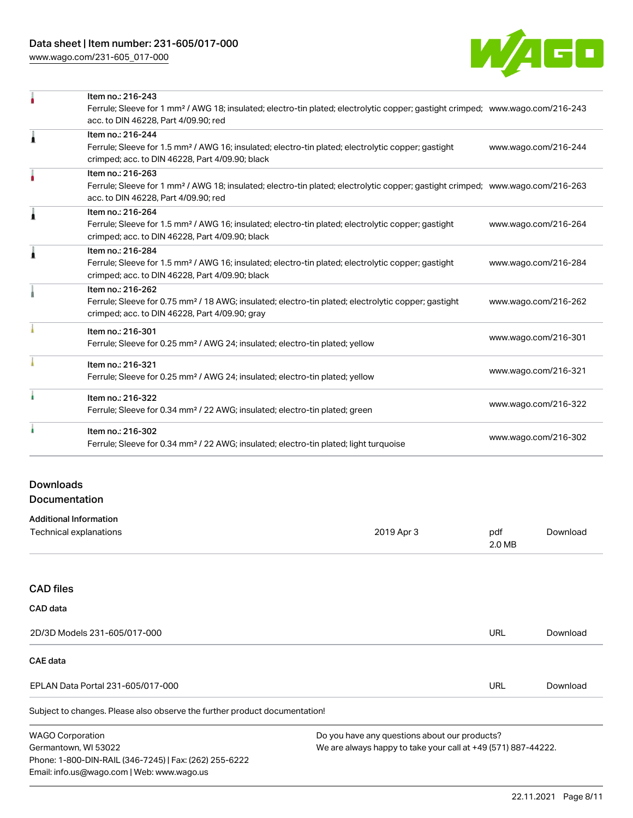[www.wago.com/231-605\\_017-000](http://www.wago.com/231-605_017-000)



|   | Item no.: 216-243                                                                                                                          |                      |
|---|--------------------------------------------------------------------------------------------------------------------------------------------|----------------------|
|   | Ferrule; Sleeve for 1 mm <sup>2</sup> / AWG 18; insulated; electro-tin plated; electrolytic copper; gastight crimped; www.wago.com/216-243 |                      |
|   | acc. to DIN 46228, Part 4/09.90; red                                                                                                       |                      |
| Ă | Item no.: 216-244                                                                                                                          |                      |
|   | Ferrule; Sleeve for 1.5 mm <sup>2</sup> / AWG 16; insulated; electro-tin plated; electrolytic copper; gastight                             | www.wago.com/216-244 |
|   | crimped; acc. to DIN 46228, Part 4/09.90; black                                                                                            |                      |
|   | Item no.: 216-263                                                                                                                          |                      |
|   | Ferrule; Sleeve for 1 mm <sup>2</sup> / AWG 18; insulated; electro-tin plated; electrolytic copper; gastight crimped; www.wago.com/216-263 |                      |
|   | acc. to DIN 46228, Part 4/09.90; red                                                                                                       |                      |
|   | Item no.: 216-264                                                                                                                          |                      |
|   | Ferrule; Sleeve for 1.5 mm <sup>2</sup> / AWG 16; insulated; electro-tin plated; electrolytic copper; gastight                             | www.wago.com/216-264 |
|   | crimped; acc. to DIN 46228, Part 4/09.90; black                                                                                            |                      |
|   | Item no.: 216-284                                                                                                                          |                      |
|   | Ferrule; Sleeve for 1.5 mm <sup>2</sup> / AWG 16; insulated; electro-tin plated; electrolytic copper; gastight                             | www.wago.com/216-284 |
|   | crimped; acc. to DIN 46228, Part 4/09.90; black                                                                                            |                      |
|   | Item no.: 216-262                                                                                                                          |                      |
|   | Ferrule; Sleeve for 0.75 mm <sup>2</sup> / 18 AWG; insulated; electro-tin plated; electrolytic copper; gastight                            | www.wago.com/216-262 |
|   | crimped; acc. to DIN 46228, Part 4/09.90; gray                                                                                             |                      |
|   | Item no.: 216-301                                                                                                                          |                      |
|   | Ferrule; Sleeve for 0.25 mm <sup>2</sup> / AWG 24; insulated; electro-tin plated; yellow                                                   | www.wago.com/216-301 |
|   | Item no.: 216-321                                                                                                                          |                      |
|   | Ferrule; Sleeve for 0.25 mm <sup>2</sup> / AWG 24; insulated; electro-tin plated; yellow                                                   | www.wago.com/216-321 |
|   | Item no.: 216-322                                                                                                                          |                      |
|   | Ferrule; Sleeve for 0.34 mm <sup>2</sup> / 22 AWG; insulated; electro-tin plated; green                                                    | www.wago.com/216-322 |
|   | Item no.: 216-302                                                                                                                          |                      |
|   | Ferrule; Sleeve for 0.34 mm <sup>2</sup> / 22 AWG; insulated; electro-tin plated; light turquoise                                          | www.wago.com/216-302 |
|   |                                                                                                                                            |                      |

# Downloads **Documentation**

| <b>Additional Information</b> |            |               |          |
|-------------------------------|------------|---------------|----------|
| Technical explanations        | 2019 Apr 3 | pdf<br>2.0 MB | Download |
|                               |            |               |          |

# CAD files

Germantown, WI 53022

Phone: 1-800-DIN-RAIL (346-7245) | Fax: (262) 255-6222

Email: info.us@wago.com | Web: www.wago.us

| CAD data                                                                   |                                               |     |          |
|----------------------------------------------------------------------------|-----------------------------------------------|-----|----------|
| 2D/3D Models 231-605/017-000                                               |                                               | URL | Download |
| <b>CAE</b> data                                                            |                                               |     |          |
| EPLAN Data Portal 231-605/017-000                                          |                                               | URL | Download |
| Subject to changes. Please also observe the further product documentation! |                                               |     |          |
| <b>WAGO Corporation</b>                                                    | Do you have any questions about our products? |     |          |

We are always happy to take your call at +49 (571) 887-44222.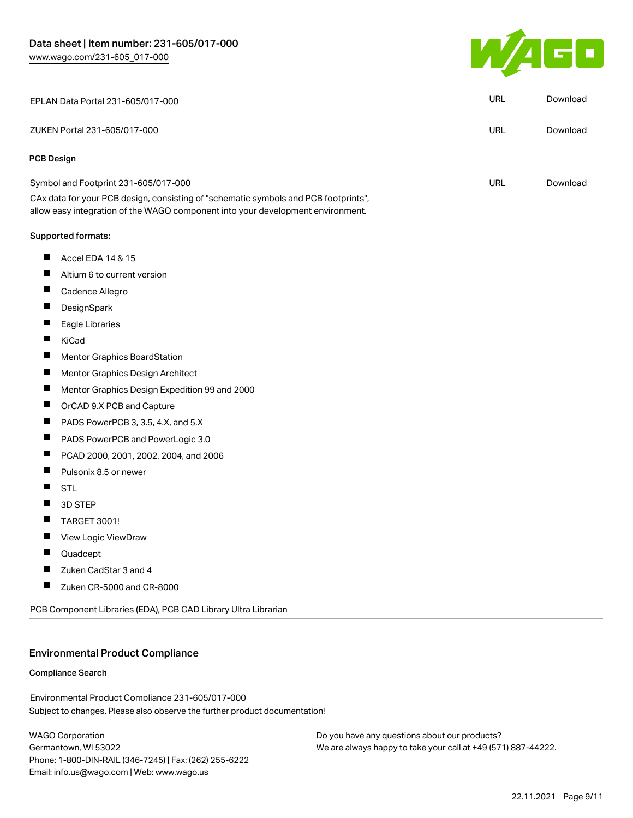

| EPLAN Data Portal 231-605/017-000                                                                                                                                      | <b>URL</b> | Download |
|------------------------------------------------------------------------------------------------------------------------------------------------------------------------|------------|----------|
| ZUKEN Portal 231-605/017-000                                                                                                                                           | <b>URL</b> | Download |
| PCB Design                                                                                                                                                             |            |          |
| Symbol and Footprint 231-605/017-000                                                                                                                                   | URL        | Download |
| CAx data for your PCB design, consisting of "schematic symbols and PCB footprints",<br>allow easy integration of the WAGO component into your development environment. |            |          |
| Supported formats:                                                                                                                                                     |            |          |
| Accel EDA 14 & 15                                                                                                                                                      |            |          |
| Altium 6 to current version                                                                                                                                            |            |          |
| ш<br>Cadence Allegro                                                                                                                                                   |            |          |
| DesignSpark                                                                                                                                                            |            |          |
| Eagle Libraries                                                                                                                                                        |            |          |
| ш<br>KiCad                                                                                                                                                             |            |          |
| <b>Mentor Graphics BoardStation</b>                                                                                                                                    |            |          |
| Mentor Graphics Design Architect                                                                                                                                       |            |          |
| Mentor Graphics Design Expedition 99 and 2000                                                                                                                          |            |          |
| OrCAD 9.X PCB and Capture                                                                                                                                              |            |          |
| ш<br>PADS PowerPCB 3, 3.5, 4.X, and 5.X                                                                                                                                |            |          |
| ш<br>PADS PowerPCB and PowerLogic 3.0                                                                                                                                  |            |          |
| PCAD 2000, 2001, 2002, 2004, and 2006                                                                                                                                  |            |          |
| Pulsonix 8.5 or newer                                                                                                                                                  |            |          |
| <b>STL</b>                                                                                                                                                             |            |          |
| 3D STEP                                                                                                                                                                |            |          |
| <b>TARGET 3001!</b>                                                                                                                                                    |            |          |
| View Logic ViewDraw                                                                                                                                                    |            |          |
| Quadcept                                                                                                                                                               |            |          |
| Zuken CadStar 3 and 4                                                                                                                                                  |            |          |
| Zuken CR-5000 and CR-8000                                                                                                                                              |            |          |
| PCB Component Libraries (EDA), PCB CAD Library Ultra Librarian                                                                                                         |            |          |

# Environmental Product Compliance

#### Compliance Search

Subject to changes. Please also observe the further product documentation! Environmental Product Compliance 231-605/017-000

WAGO Corporation Germantown, WI 53022 Phone: 1-800-DIN-RAIL (346-7245) | Fax: (262) 255-6222 Email: info.us@wago.com | Web: www.wago.us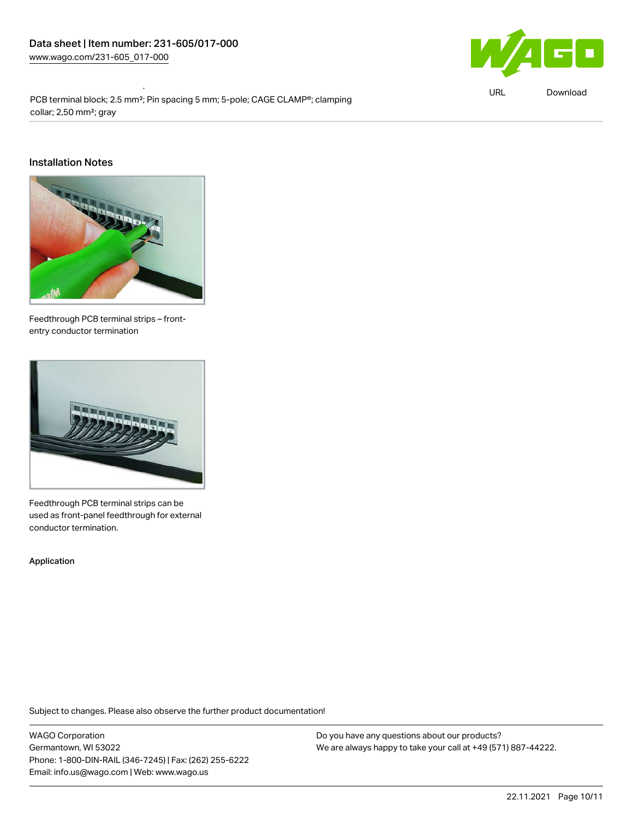Environmental Product Compliance 231-605/017-000



URL [Download](https://www.wago.com/global/d/ComplianceLinkMediaContainer_231-605_017-000)

PCB terminal block; 2.5 mm<sup>2</sup>; Pin spacing 5 mm; 5-pole; CAGE CLAMP®; clamping collar; 2,50 mm²; gray

#### Installation Notes



Feedthrough PCB terminal strips – frontentry conductor termination



Feedthrough PCB terminal strips can be used as front-panel feedthrough for external conductor termination.

Application

Subject to changes. Please also observe the further product documentation!

WAGO Corporation Germantown, WI 53022 Phone: 1-800-DIN-RAIL (346-7245) | Fax: (262) 255-6222 Email: info.us@wago.com | Web: www.wago.us